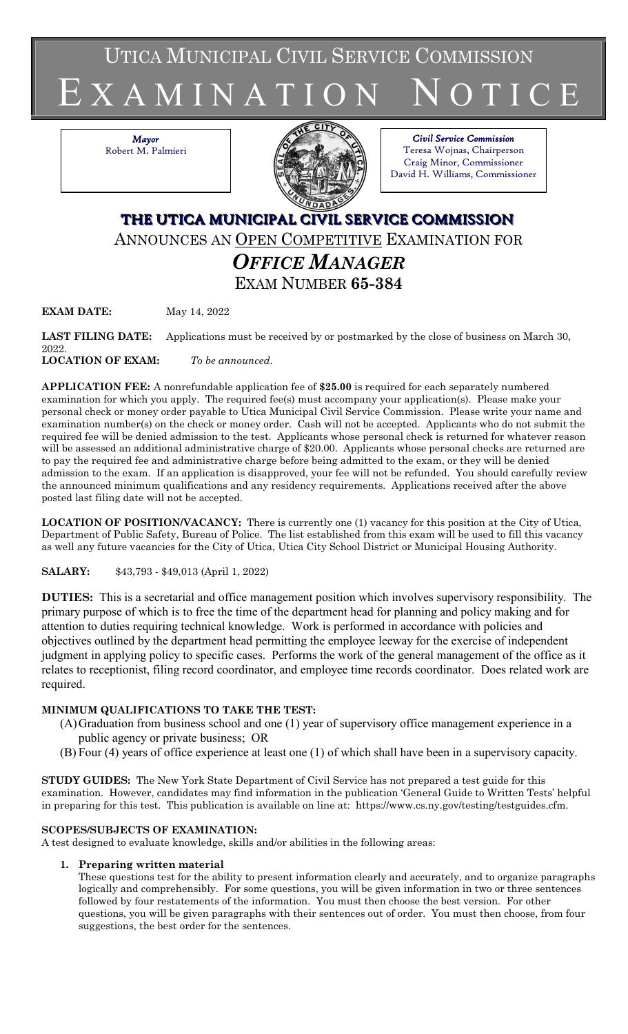UTICA MUNICIPAL CIVIL SERVICE COMMISSION

# E X A M I N A T I O N N O T I C E

*Mayor* Robert M. Palmieri



*Civil Service Commission* Teresa Wojnas, Chairperson Craig Minor, Commissioner David H. Williams, Commissioner

# **THE UTICA MUNICIPAL CIVIL SERVICE COMMISSION** ANNOUNCES AN OPEN COMPETITIVE EXAMINATION FOR *OFFICE MANAGER* EXAM NUMBER **65-384**

**EXAM DATE:** May 14, 2022

**LAST FILING DATE:** Applications must be received by or postmarked by the close of business on March 30, 2022. **LOCATION OF EXAM:** *To be announced*.

**APPLICATION FEE:** A nonrefundable application fee of **\$25.00** is required for each separately numbered examination for which you apply. The required fee(s) must accompany your application(s). Please make your personal check or money order payable to Utica Municipal Civil Service Commission. Please write your name and examination number(s) on the check or money order. Cash will not be accepted. Applicants who do not submit the required fee will be denied admission to the test. Applicants whose personal check is returned for whatever reason will be assessed an additional administrative charge of \$20.00. Applicants whose personal checks are returned are

to pay the required fee and administrative charge before being admitted to the exam, or they will be denied admission to the exam. If an application is disapproved, your fee will not be refunded. You should carefully review the announced minimum qualifications and any residency requirements. Applications received after the above posted last filing date will not be accepted.

**LOCATION OF POSITION/VACANCY:** There is currently one (1) vacancy for this position at the City of Utica, Department of Public Safety, Bureau of Police. The list established from this exam will be used to fill this vacancy as well any future vacancies for the City of Utica, Utica City School District or Municipal Housing Authority.

**SALARY:** \$43,793 - \$49,013 (April 1, 2022)

**DUTIES:** This is a secretarial and office management position which involves supervisory responsibility. The primary purpose of which is to free the time of the department head for planning and policy making and for attention to duties requiring technical knowledge. Work is performed in accordance with policies and objectives outlined by the department head permitting the employee leeway for the exercise of independent judgment in applying policy to specific cases. Performs the work of the general management of the office as it relates to receptionist, filing record coordinator, and employee time records coordinator. Does related work are required.

# **MINIMUM QUALIFICATIONS TO TAKE THE TEST:**

- (A)Graduation from business school and one (1) year of supervisory office management experience in a public agency or private business; OR
- (B) Four (4) years of office experience at least one (1) of which shall have been in a supervisory capacity.

**STUDY GUIDES:** The New York State Department of Civil Service has not prepared a test guide for this examination. However, candidates may find information in the publication 'General Guide to Written Tests' helpful in preparing for this test. This publication is available on line at: https://www.cs.ny.gov/testing/testguides.cfm.

# **SCOPES/SUBJECTS OF EXAMINATION:**

A test designed to evaluate knowledge, skills and/or abilities in the following areas:

# **1. Preparing written material**

These questions test for the ability to present information clearly and accurately, and to organize paragraphs logically and comprehensibly. For some questions, you will be given information in two or three sentences followed by four restatements of the information. You must then choose the best version. For other questions, you will be given paragraphs with their sentences out of order. You must then choose, from four suggestions, the best order for the sentences.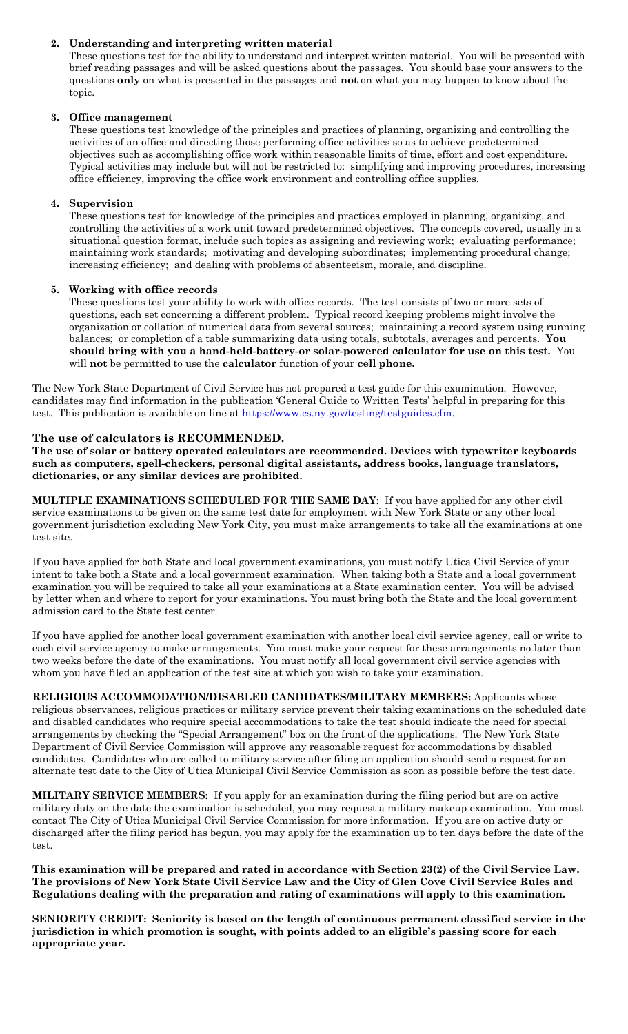#### **2. Understanding and interpreting written material**

These questions test for the ability to understand and interpret written material. You will be presented with brief reading passages and will be asked questions about the passages. You should base your answers to the questions **only** on what is presented in the passages and **not** on what you may happen to know about the topic.

#### **3. Office management**

These questions test knowledge of the principles and practices of planning, organizing and controlling the activities of an office and directing those performing office activities so as to achieve predetermined objectives such as accomplishing office work within reasonable limits of time, effort and cost expenditure. Typical activities may include but will not be restricted to: simplifying and improving procedures, increasing office efficiency, improving the office work environment and controlling office supplies.

#### **4. Supervision**

These questions test for knowledge of the principles and practices employed in planning, organizing, and controlling the activities of a work unit toward predetermined objectives. The concepts covered, usually in a situational question format, include such topics as assigning and reviewing work; evaluating performance; maintaining work standards; motivating and developing subordinates; implementing procedural change; increasing efficiency; and dealing with problems of absenteeism, morale, and discipline.

#### **5. Working with office records**

These questions test your ability to work with office records. The test consists pf two or more sets of questions, each set concerning a different problem. Typical record keeping problems might involve the organization or collation of numerical data from several sources; maintaining a record system using running balances; or completion of a table summarizing data using totals, subtotals, averages and percents. **You should bring with you a hand-held-battery-or solar-powered calculator for use on this test.** You will **not** be permitted to use the **calculator** function of your **cell phone.**

The New York State Department of Civil Service has not prepared a test guide for this examination. However, candidates may find information in the publication 'General Guide to Written Tests' helpful in preparing for this test. This publication is available on line at [https://www.cs.ny.gov/testing/testguides.cfm.](https://www.cs.ny.gov/testing/testguides.cfm)

#### **The use of calculators is RECOMMENDED.**

**The use of solar or battery operated calculators are recommended. Devices with typewriter keyboards such as computers, spell-checkers, personal digital assistants, address books, language translators, dictionaries, or any similar devices are prohibited.**

**MULTIPLE EXAMINATIONS SCHEDULED FOR THE SAME DAY:** If you have applied for any other civil service examinations to be given on the same test date for employment with New York State or any other local government jurisdiction excluding New York City, you must make arrangements to take all the examinations at one test site.

If you have applied for both State and local government examinations, you must notify Utica Civil Service of your intent to take both a State and a local government examination. When taking both a State and a local government examination you will be required to take all your examinations at a State examination center. You will be advised by letter when and where to report for your examinations. You must bring both the State and the local government admission card to the State test center.

If you have applied for another local government examination with another local civil service agency, call or write to each civil service agency to make arrangements. You must make your request for these arrangements no later than two weeks before the date of the examinations. You must notify all local government civil service agencies with whom you have filed an application of the test site at which you wish to take your examination.

**RELIGIOUS ACCOMMODATION/DISABLED CANDIDATES/MILITARY MEMBERS:** Applicants whose religious observances, religious practices or military service prevent their taking examinations on the scheduled date and disabled candidates who require special accommodations to take the test should indicate the need for special arrangements by checking the "Special Arrangement" box on the front of the applications. The New York State Department of Civil Service Commission will approve any reasonable request for accommodations by disabled candidates. Candidates who are called to military service after filing an application should send a request for an alternate test date to the City of Utica Municipal Civil Service Commission as soon as possible before the test date.

**MILITARY SERVICE MEMBERS:** If you apply for an examination during the filing period but are on active military duty on the date the examination is scheduled, you may request a military makeup examination. You must contact The City of Utica Municipal Civil Service Commission for more information. If you are on active duty or discharged after the filing period has begun, you may apply for the examination up to ten days before the date of the test.

**This examination will be prepared and rated in accordance with Section 23(2) of the Civil Service Law. The provisions of New York State Civil Service Law and the City of Glen Cove Civil Service Rules and Regulations dealing with the preparation and rating of examinations will apply to this examination.**

**SENIORITY CREDIT: Seniority is based on the length of continuous permanent classified service in the jurisdiction in which promotion is sought, with points added to an eligible's passing score for each appropriate year.**